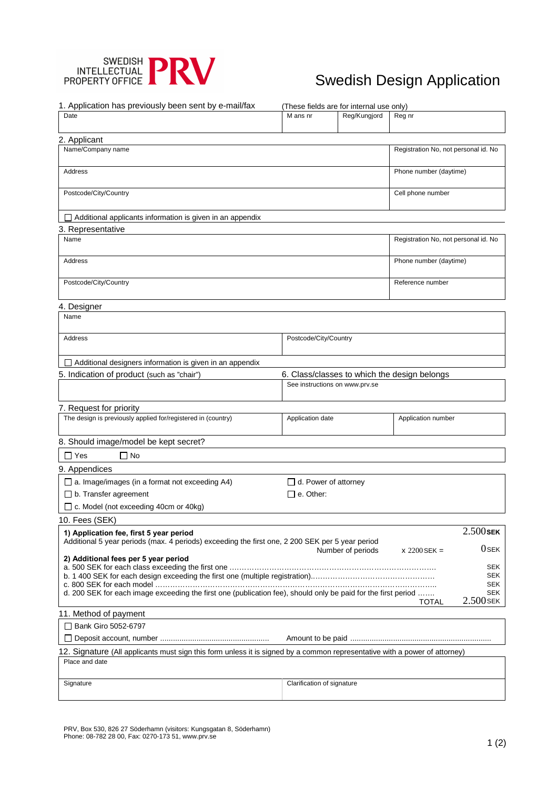

# Swedish Design Application

| 1. Application has previously been sent by e-mail/fax                                                                                        |                             | (These fields are for internal use only) |                                      |                           |
|----------------------------------------------------------------------------------------------------------------------------------------------|-----------------------------|------------------------------------------|--------------------------------------|---------------------------|
| Date                                                                                                                                         | M ans nr                    | Reg/Kungjord                             | Reg nr                               |                           |
| 2. Applicant                                                                                                                                 |                             |                                          |                                      |                           |
| Name/Company name                                                                                                                            |                             |                                          | Registration No, not personal id. No |                           |
| Address                                                                                                                                      |                             |                                          | Phone number (daytime)               |                           |
| Postcode/City/Country                                                                                                                        |                             |                                          | Cell phone number                    |                           |
| $\Box$ Additional applicants information is given in an appendix                                                                             |                             |                                          |                                      |                           |
| 3. Representative                                                                                                                            |                             |                                          |                                      |                           |
| Name                                                                                                                                         |                             |                                          | Registration No, not personal id. No |                           |
| Address                                                                                                                                      |                             |                                          | Phone number (daytime)               |                           |
| Postcode/City/Country                                                                                                                        |                             |                                          | Reference number                     |                           |
|                                                                                                                                              |                             |                                          |                                      |                           |
| 4. Designer<br>Name                                                                                                                          |                             |                                          |                                      |                           |
| <b>Address</b>                                                                                                                               |                             | Postcode/City/Country                    |                                      |                           |
|                                                                                                                                              |                             |                                          |                                      |                           |
| Additional designers information is given in an appendix                                                                                     |                             |                                          |                                      |                           |
| 5. Indication of product (such as "chair")<br>6. Class/classes to which the design belongs                                                   |                             |                                          |                                      |                           |
|                                                                                                                                              |                             | See instructions on www.prv.se           |                                      |                           |
| 7. Request for priority                                                                                                                      |                             |                                          |                                      |                           |
| The design is previously applied for/registered in (country)                                                                                 | Application date            |                                          | Application number                   |                           |
| 8. Should image/model be kept secret?                                                                                                        |                             |                                          |                                      |                           |
| $\Box$ No<br>∏ Yes                                                                                                                           |                             |                                          |                                      |                           |
| 9. Appendices                                                                                                                                |                             |                                          |                                      |                           |
| $\Box$ a. Image/images (in a format not exceeding A4)                                                                                        | $\Box$ d. Power of attorney |                                          |                                      |                           |
| $\Box$ b. Transfer agreement                                                                                                                 | $\Box$ e. Other:            |                                          |                                      |                           |
| □ c. Model (not exceeding 40cm or 40kg)                                                                                                      |                             |                                          |                                      |                           |
| 10. Fees (SEK)                                                                                                                               |                             |                                          |                                      |                           |
| 1) Application fee, first 5 year period                                                                                                      |                             |                                          |                                      | $2.500$ SEK               |
| Additional 5 year periods (max. 4 periods) exceeding the first one, 2 200 SEK per 5 year period                                              |                             |                                          |                                      |                           |
|                                                                                                                                              |                             | Number of periods                        | $x 2200$ SEK =                       | $0$ SEK                   |
| 2) Additional fees per 5 year period                                                                                                         |                             |                                          |                                      | <b>SEK</b>                |
|                                                                                                                                              |                             |                                          |                                      | <b>SEK</b>                |
|                                                                                                                                              |                             |                                          |                                      | <b>SEK</b>                |
| d. 200 SEK for each image exceeding the first one (publication fee), should only be paid for the first period                                |                             |                                          |                                      | <b>SEK</b><br>$2.500$ SEK |
| 11. Method of payment                                                                                                                        |                             |                                          | <b>TOTAL</b>                         |                           |
| □ Bank Giro 5052-6797                                                                                                                        |                             |                                          |                                      |                           |
|                                                                                                                                              |                             |                                          |                                      |                           |
|                                                                                                                                              |                             |                                          |                                      |                           |
| 12. Signature (All applicants must sign this form unless it is signed by a common representative with a power of attorney)<br>Place and date |                             |                                          |                                      |                           |
|                                                                                                                                              |                             |                                          |                                      |                           |
| Signature                                                                                                                                    | Clarification of signature  |                                          |                                      |                           |